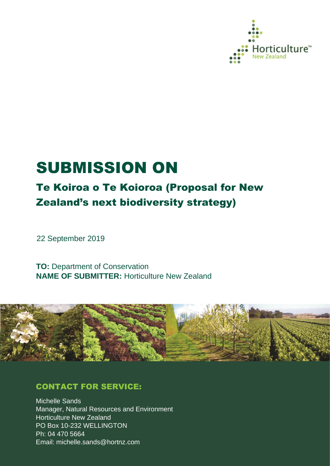

# SUBMISSION ON

# Te Koiroa o Te Koioroa (Proposal for New Zealand's next biodiversity strategy)

22 September 2019

**TO:** Department of Conservation **NAME OF SUBMITTER:** Horticulture New Zealand



### CONTACT FOR SERVICE:

Michelle Sands Manager, Natural Resources and Environment Horticulture New Zealand PO Box 10-232 WELLINGTON Ph: 04 470 5664 Email: michelle.sands@hortnz.com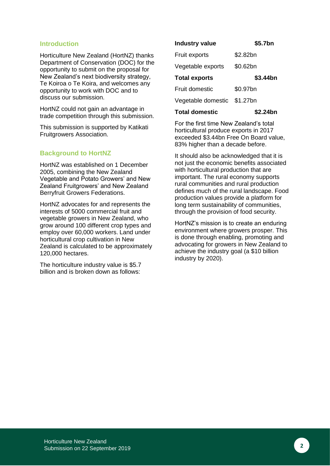#### **Introduction**

Horticulture New Zealand (HortNZ) thanks Department of Conservation (DOC) for the opportunity to submit on the proposal for New Zealand's next biodiversity strategy, Te Koiroa o Te Koira, and welcomes any opportunity to work with DOC and to discuss our submission.

HortNZ could not gain an advantage in trade competition through this submission.

This submission is supported by Katikati Fruitgrowers Association.

#### **Background to HortNZ**

HortNZ was established on 1 December 2005, combining the New Zealand Vegetable and Potato Growers' and New Zealand Fruitgrowers' and New Zealand Berryfruit Growers Federations.

HortNZ advocates for and represents the interests of 5000 commercial fruit and vegetable growers in New Zealand, who grow around 100 different crop types and employ over 60,000 workers. Land under horticultural crop cultivation in New Zealand is calculated to be approximately 120,000 hectares.

The horticulture industry value is \$5.7 billion and is broken down as follows:

| <b>Industry value</b> | \$5.7bn  |
|-----------------------|----------|
| Fruit exports         | \$2.82bn |
| Vegetable exports     | \$0.62bn |
| <b>Total exports</b>  | \$3.44bn |
| <b>Fruit domestic</b> | \$0.97bn |
| Vegetable domestic    | \$1.27bn |
| <b>Total domestic</b> | \$2.24bn |

For the first time New Zealand's total horticultural produce exports in 2017 exceeded \$3.44bn Free On Board value, 83% higher than a decade before.

It should also be acknowledged that it is not just the economic benefits associated with horticultural production that are important. The rural economy supports rural communities and rural production defines much of the rural landscape. Food production values provide a platform for long term sustainability of communities, through the provision of food security.

HortNZ's mission is to create an enduring environment where growers prosper. This is done through enabling, promoting and advocating for growers in New Zealand to achieve the industry goal (a \$10 billion industry by 2020).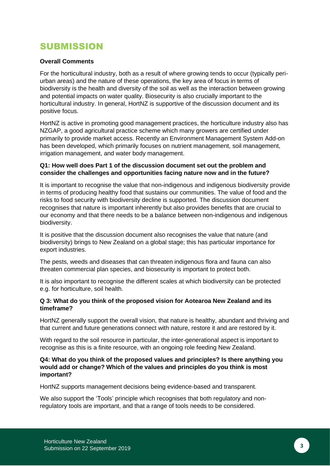## SUBMISSION

#### **Overall Comments**

For the horticultural industry, both as a result of where growing tends to occur (typically periurban areas) and the nature of these operations, the key area of focus in terms of biodiversity is the health and diversity of the soil as well as the interaction between growing and potential impacts on water quality. Biosecurity is also crucially important to the horticultural industry. In general, HortNZ is supportive of the discussion document and its positive focus.

HortNZ is active in promoting good management practices, the horticulture industry also has NZGAP, a good agricultural practice scheme which many growers are certified under primarily to provide market access. Recently an Environment Management System Add-on has been developed, which primarily focuses on nutrient management, soil management, irrigation management, and water body management.

#### **Q1: How well does Part 1 of the discussion document set out the problem and consider the challenges and opportunities facing nature now and in the future?**

It is important to recognise the value that non-indigenous and indigenous biodiversity provide in terms of producing healthy food that sustains our communities. The value of food and the risks to food security with biodiversity decline is supported. The discussion document recognises that nature is important inherently but also provides benefits that are crucial to our economy and that there needs to be a balance between non-indigenous and indigenous biodiversity.

It is positive that the discussion document also recognises the value that nature (and biodiversity) brings to New Zealand on a global stage; this has particular importance for export industries.

The pests, weeds and diseases that can threaten indigenous flora and fauna can also threaten commercial plan species, and biosecurity is important to protect both.

It is also important to recognise the different scales at which biodiversity can be protected e.g. for horticulture, soil health.

#### **Q 3: What do you think of the proposed vision for Aotearoa New Zealand and its timeframe?**

HortNZ generally support the overall vision, that nature is healthy, abundant and thriving and that current and future generations connect with nature, restore it and are restored by it.

With regard to the soil resource in particular, the inter-generational aspect is important to recognise as this is a finite resource, with an ongoing role feeding New Zealand.

#### **Q4: What do you think of the proposed values and principles? Is there anything you would add or change? Which of the values and principles do you think is most important?**

HortNZ supports management decisions being evidence-based and transparent.

We also support the 'Tools' principle which recognises that both regulatory and nonregulatory tools are important, and that a range of tools needs to be considered.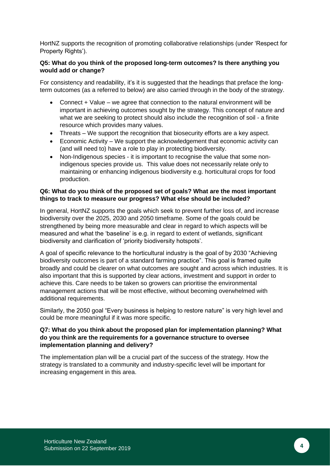HortNZ supports the recognition of promoting collaborative relationships (under 'Respect for Property Rights').

#### **Q5: What do you think of the proposed long-term outcomes? Is there anything you would add or change?**

For consistency and readability, it's it is suggested that the headings that preface the longterm outcomes (as a referred to below) are also carried through in the body of the strategy.

- Connect + Value we agree that connection to the natural environment will be important in achieving outcomes sought by the strategy. This concept of nature and what we are seeking to protect should also include the recognition of soil - a finite resource which provides many values.
- Threats We support the recognition that biosecurity efforts are a key aspect.
- Economic Activity We support the acknowledgement that economic activity can (and will need to) have a role to play in protecting biodiversity.
- Non-Indigenous species it is important to recognise the value that some nonindigenous species provide us. This value does not necessarily relate only to maintaining or enhancing indigenous biodiversity e.g. horticultural crops for food production.

#### **Q6: What do you think of the proposed set of goals? What are the most important things to track to measure our progress? What else should be included?**

In general, HortNZ supports the goals which seek to prevent further loss of, and increase biodiversity over the 2025, 2030 and 2050 timeframe. Some of the goals could be strengthened by being more measurable and clear in regard to which aspects will be measured and what the 'baseline' is e.g. in regard to extent of wetlands, significant biodiversity and clarification of 'priority biodiversity hotspots'.

A goal of specific relevance to the horticultural industry is the goal of by 2030 "Achieving biodiversity outcomes is part of a standard farming practice". This goal is framed quite broadly and could be clearer on what outcomes are sought and across which industries. It is also important that this is supported by clear actions, investment and support in order to achieve this. Care needs to be taken so growers can prioritise the environmental management actions that will be most effective, without becoming overwhelmed with additional requirements.

Similarly, the 2050 goal "Every business is helping to restore nature" is very high level and could be more meaningful if it was more specific.

#### **Q7: What do you think about the proposed plan for implementation planning? What do you think are the requirements for a governance structure to oversee implementation planning and delivery?**

The implementation plan will be a crucial part of the success of the strategy. How the strategy is translated to a community and industry-specific level will be important for increasing engagement in this area.

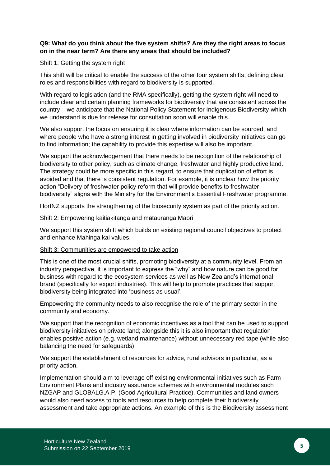#### **Q9: What do you think about the five system shifts? Are they the right areas to focus on in the near term? Are there any areas that should be included?**

#### Shift 1: Getting the system right

This shift will be critical to enable the success of the other four system shifts; defining clear roles and responsibilities with regard to biodiversity is supported.

With regard to legislation (and the RMA specifically), getting the system right will need to include clear and certain planning frameworks for biodiversity that are consistent across the country – we anticipate that the National Policy Statement for Indigenous Biodiversity which we understand is due for release for consultation soon will enable this.

We also support the focus on ensuring it is clear where information can be sourced, and where people who have a strong interest in getting involved in biodiversity initiatives can go to find information; the capability to provide this expertise will also be important.

We support the acknowledgement that there needs to be recognition of the relationship of biodiversity to other policy, such as climate change, freshwater and highly productive land. The strategy could be more specific in this regard, to ensure that duplication of effort is avoided and that there is consistent regulation. For example, it is unclear how the priority action "Delivery of freshwater policy reform that will provide benefits to freshwater biodiversity" aligns with the Ministry for the Environment's Essential Freshwater programme.

HortNZ supports the strengthening of the biosecurity system as part of the priority action.

#### Shift 2: Empowering kaitiakitanga and mātauranga Maori

We support this system shift which builds on existing regional council objectives to protect and enhance Mahinga kai values.

#### Shift 3: Communities are empowered to take action

This is one of the most crucial shifts, promoting biodiversity at a community level. From an industry perspective, it is important to express the "why" and how nature can be good for business with regard to the ecosystem services as well as New Zealand's international brand (specifically for export industries). This will help to promote practices that support biodiversity being integrated into 'business as usual'.

Empowering the community needs to also recognise the role of the primary sector in the community and economy.

We support that the recognition of economic incentives as a tool that can be used to support biodiversity initiatives on private land; alongside this it is also important that regulation enables positive action (e.g. wetland maintenance) without unnecessary red tape (while also balancing the need for safeguards).

We support the establishment of resources for advice, rural advisors in particular, as a priority action.

Implementation should aim to leverage off existing environmental initiatives such as Farm Environment Plans and industry assurance schemes with environmental modules such NZGAP and GLOBALG.A.P. (Good Agricultural Practice). Communities and land owners would also need access to tools and resources to help complete their biodiversity assessment and take appropriate actions. An example of this is the Biodiversity assessment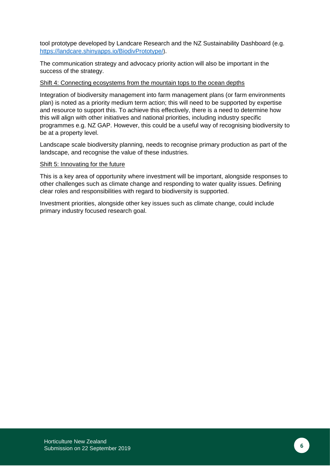tool prototype developed by Landcare Research and the NZ Sustainability Dashboard (e.g. <https://landcare.shinyapps.io/BiodivPrototype/>).

The communication strategy and advocacy priority action will also be important in the success of the strategy.

#### Shift 4: Connecting ecosystems from the mountain tops to the ocean depths

Integration of biodiversity management into farm management plans (or farm environments plan) is noted as a priority medium term action; this will need to be supported by expertise and resource to support this. To achieve this effectively, there is a need to determine how this will align with other initiatives and national priorities, including industry specific programmes e.g. NZ GAP. However, this could be a useful way of recognising biodiversity to be at a property level.

Landscape scale biodiversity planning, needs to recognise primary production as part of the landscape, and recognise the value of these industries.

#### Shift 5: Innovating for the future

This is a key area of opportunity where investment will be important, alongside responses to other challenges such as climate change and responding to water quality issues. Defining clear roles and responsibilities with regard to biodiversity is supported.

Investment priorities, alongside other key issues such as climate change, could include primary industry focused research goal.